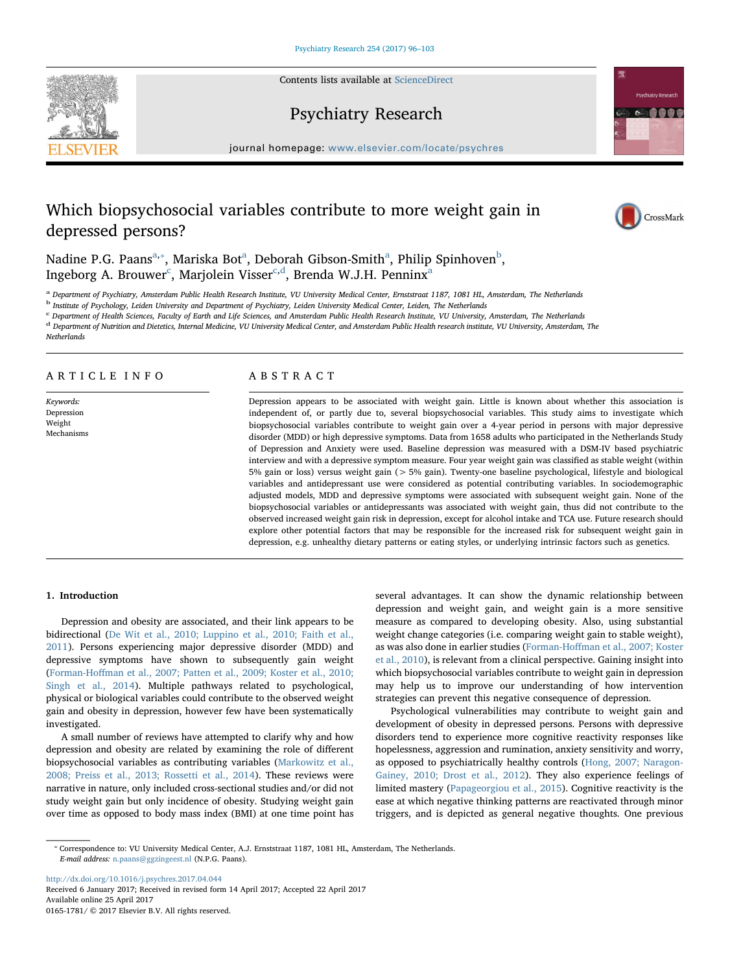Contents lists available at [ScienceDirect](http://www.sciencedirect.com/science/journal/01651781)





# Psychiatry Research

journal homepage: [www.elsevier.com/locate/psychres](http://www.elsevier.com/locate/psychres)

# Which biopsychosocial variables contribute to more weight gain in depressed persons?



N[a](#page-0-0)dine P.G. Paans $^{\rm a, *},$  Mariska Bot $^{\rm a}$ , De[b](#page-0-2)orah Gibson-Smith $^{\rm a}$ , Philip Spinhoven $^{\rm b}$ , Ingeborg A. Brouwer $^{\mathrm{c}}$  $^{\mathrm{c}}$  $^{\mathrm{c}}$ , M[a](#page-0-0)rjolein Visser $^{\mathrm{c,d}}$  $^{\mathrm{c,d}}$  $^{\mathrm{c,d}}$ , Brenda W.J.H. Penninx $^{\mathrm{a}}$ 

<span id="page-0-0"></span>a Department of Psychiatry, Amsterdam Public Health Research Institute, VU University Medical Center, Ernststraat 1187, 1081 HL, Amsterdam, The Netherlands

<span id="page-0-2"></span><sup>b</sup> Institute of Psychology, Leiden University and Department of Psychiatry, Leiden University Medical Center, Leiden, The Netherlands

<span id="page-0-3"></span><sup>c</sup> Department of Health Sciences, Faculty of Earth and Life Sciences, and Amsterdam Public Health Research Institute, VU University, Amsterdam, The Netherlands

<span id="page-0-4"></span><sup>d</sup> Department of Nutrition and Dietetics, Internal Medicine, VU University Medical Center, and Amsterdam Public Health research institute, VU University, Amsterdam, The

**Netherlands** 

# ARTICLE INFO

Keywords: Depression Weight Mechanisms

# ABSTRACT

Depression appears to be associated with weight gain. Little is known about whether this association is independent of, or partly due to, several biopsychosocial variables. This study aims to investigate which biopsychosocial variables contribute to weight gain over a 4-year period in persons with major depressive disorder (MDD) or high depressive symptoms. Data from 1658 adults who participated in the Netherlands Study of Depression and Anxiety were used. Baseline depression was measured with a DSM-IV based psychiatric interview and with a depressive symptom measure. Four year weight gain was classified as stable weight (within 5% gain or loss) versus weight gain (> 5% gain). Twenty-one baseline psychological, lifestyle and biological variables and antidepressant use were considered as potential contributing variables. In sociodemographic adjusted models, MDD and depressive symptoms were associated with subsequent weight gain. None of the biopsychosocial variables or antidepressants was associated with weight gain, thus did not contribute to the observed increased weight gain risk in depression, except for alcohol intake and TCA use. Future research should explore other potential factors that may be responsible for the increased risk for subsequent weight gain in depression, e.g. unhealthy dietary patterns or eating styles, or underlying intrinsic factors such as genetics.

# 1. Introduction

Depression and obesity are associated, and their link appears to be bidirectional ([De Wit et al., 2010; Luppino et al., 2010; Faith et al.,](#page-6-0) [2011\)](#page-6-0). Persons experiencing major depressive disorder (MDD) and depressive symptoms have shown to subsequently gain weight (Forman-Hoff[man et al., 2007; Patten et al., 2009; Koster et al., 2010;](#page-6-1) [Singh et al., 2014\)](#page-6-1). Multiple pathways related to psychological, physical or biological variables could contribute to the observed weight gain and obesity in depression, however few have been systematically investigated.

A small number of reviews have attempted to clarify why and how depression and obesity are related by examining the role of different biopsychosocial variables as contributing variables ([Markowitz et al.,](#page-6-2) [2008; Preiss et al., 2013; Rossetti et al., 2014](#page-6-2)). These reviews were narrative in nature, only included cross-sectional studies and/or did not study weight gain but only incidence of obesity. Studying weight gain over time as opposed to body mass index (BMI) at one time point has

several advantages. It can show the dynamic relationship between depression and weight gain, and weight gain is a more sensitive measure as compared to developing obesity. Also, using substantial weight change categories (i.e. comparing weight gain to stable weight), as was also done in earlier studies (Forman-Hoff[man et al., 2007; Koster](#page-6-1) [et al., 2010\)](#page-6-1), is relevant from a clinical perspective. Gaining insight into which biopsychosocial variables contribute to weight gain in depression may help us to improve our understanding of how intervention strategies can prevent this negative consequence of depression.

Psychological vulnerabilities may contribute to weight gain and development of obesity in depressed persons. Persons with depressive disorders tend to experience more cognitive reactivity responses like hopelessness, aggression and rumination, anxiety sensitivity and worry, as opposed to psychiatrically healthy controls ([Hong, 2007; Naragon-](#page-6-3)[Gainey, 2010; Drost et al., 2012\)](#page-6-3). They also experience feelings of limited mastery ([Papageorgiou et al., 2015\)](#page-7-0). Cognitive reactivity is the ease at which negative thinking patterns are reactivated through minor triggers, and is depicted as general negative thoughts. One previous

<http://dx.doi.org/10.1016/j.psychres.2017.04.044> Received 6 January 2017; Received in revised form 14 April 2017; Accepted 22 April 2017 Available online 25 April 2017 0165-1781/ © 2017 Elsevier B.V. All rights reserved.

<span id="page-0-1"></span><sup>⁎</sup> Correspondence to: VU University Medical Center, A.J. Ernststraat 1187, 1081 HL, Amsterdam, The Netherlands. E-mail address: [n.paans@ggzingeest.nl](mailto:n.paans@ggzingeest.nl) (N.P.G. Paans).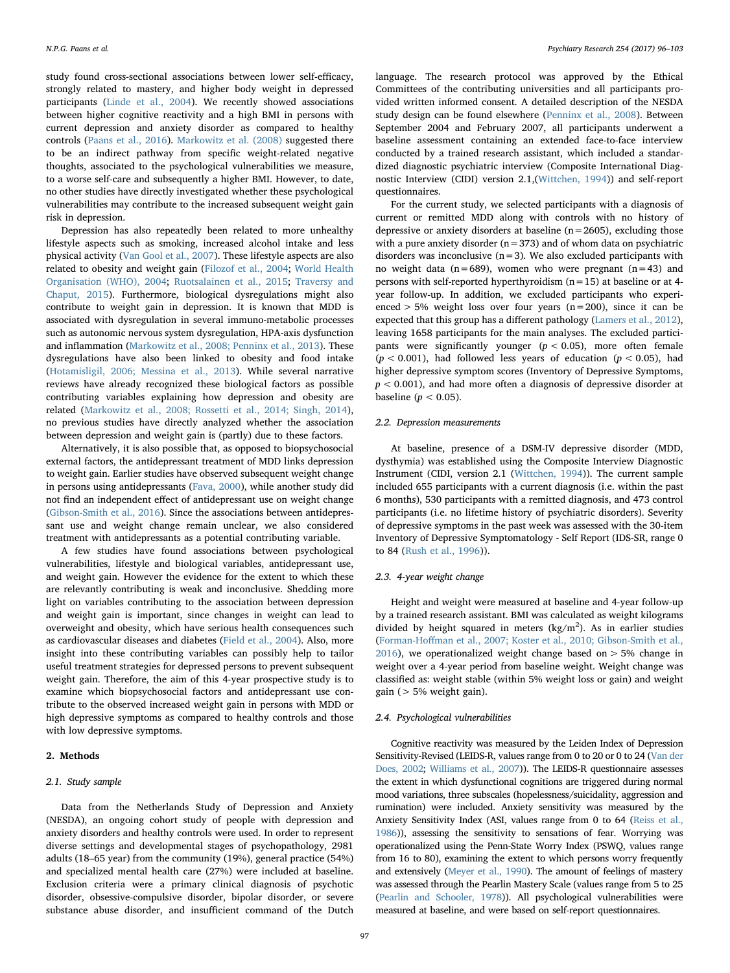study found cross-sectional associations between lower self-efficacy, strongly related to mastery, and higher body weight in depressed participants [\(Linde et al., 2004](#page-6-4)). We recently showed associations between higher cognitive reactivity and a high BMI in persons with current depression and anxiety disorder as compared to healthy controls ([Paans et al., 2016](#page-7-1)). [Markowitz et al. \(2008\)](#page-6-2) suggested there to be an indirect pathway from specific weight-related negative thoughts, associated to the psychological vulnerabilities we measure, to a worse self-care and subsequently a higher BMI. However, to date, no other studies have directly investigated whether these psychological vulnerabilities may contribute to the increased subsequent weight gain risk in depression.

Depression has also repeatedly been related to more unhealthy lifestyle aspects such as smoking, increased alcohol intake and less physical activity [\(Van Gool et al., 2007\)](#page-7-2). These lifestyle aspects are also related to obesity and weight gain [\(Filozof et al., 2004](#page-6-5); [World Health](#page-7-3) [Organisation \(WHO\), 2004](#page-7-3); [Ruotsalainen et al., 2015;](#page-7-4) [Traversy and](#page-7-5) [Chaput, 2015\)](#page-7-5). Furthermore, biological dysregulations might also contribute to weight gain in depression. It is known that MDD is associated with dysregulation in several immuno-metabolic processes such as autonomic nervous system dysregulation, HPA-axis dysfunction and inflammation ([Markowitz et al., 2008; Penninx et al., 2013\)](#page-6-2). These dysregulations have also been linked to obesity and food intake ([Hotamisligil, 2006; Messina et al., 2013](#page-6-6)). While several narrative reviews have already recognized these biological factors as possible contributing variables explaining how depression and obesity are related ([Markowitz et al., 2008; Rossetti et al., 2014; Singh, 2014](#page-6-2)), no previous studies have directly analyzed whether the association between depression and weight gain is (partly) due to these factors.

Alternatively, it is also possible that, as opposed to biopsychosocial external factors, the antidepressant treatment of MDD links depression to weight gain. Earlier studies have observed subsequent weight change in persons using antidepressants [\(Fava, 2000](#page-6-7)), while another study did not find an independent effect of antidepressant use on weight change ([Gibson-Smith et al., 2016\)](#page-6-8). Since the associations between antidepressant use and weight change remain unclear, we also considered treatment with antidepressants as a potential contributing variable.

A few studies have found associations between psychological vulnerabilities, lifestyle and biological variables, antidepressant use, and weight gain. However the evidence for the extent to which these are relevantly contributing is weak and inconclusive. Shedding more light on variables contributing to the association between depression and weight gain is important, since changes in weight can lead to overweight and obesity, which have serious health consequences such as cardiovascular diseases and diabetes [\(Field et al., 2004\)](#page-6-9). Also, more insight into these contributing variables can possibly help to tailor useful treatment strategies for depressed persons to prevent subsequent weight gain. Therefore, the aim of this 4-year prospective study is to examine which biopsychosocial factors and antidepressant use contribute to the observed increased weight gain in persons with MDD or high depressive symptoms as compared to healthy controls and those with low depressive symptoms.

# 2. Methods

# 2.1. Study sample

Data from the Netherlands Study of Depression and Anxiety (NESDA), an ongoing cohort study of people with depression and anxiety disorders and healthy controls were used. In order to represent diverse settings and developmental stages of psychopathology, 2981 adults (18–65 year) from the community (19%), general practice (54%) and specialized mental health care (27%) were included at baseline. Exclusion criteria were a primary clinical diagnosis of psychotic disorder, obsessive-compulsive disorder, bipolar disorder, or severe substance abuse disorder, and insufficient command of the Dutch

language. The research protocol was approved by the Ethical Committees of the contributing universities and all participants provided written informed consent. A detailed description of the NESDA study design can be found elsewhere [\(Penninx et al., 2008](#page-7-6)). Between September 2004 and February 2007, all participants underwent a baseline assessment containing an extended face-to-face interview conducted by a trained research assistant, which included a standardized diagnostic psychiatric interview (Composite International Diagnostic Interview (CIDI) version 2.1,[\(Wittchen, 1994](#page-7-7))) and self-report questionnaires.

For the current study, we selected participants with a diagnosis of current or remitted MDD along with controls with no history of depressive or anxiety disorders at baseline  $(n=2605)$ , excluding those with a pure anxiety disorder  $(n=373)$  and of whom data on psychiatric disorders was inconclusive  $(n=3)$ . We also excluded participants with no weight data ( $n=689$ ), women who were pregnant ( $n=43$ ) and persons with self-reported hyperthyroidism  $(n=15)$  at baseline or at 4year follow-up. In addition, we excluded participants who experienced  $> 5\%$  weight loss over four years (n=200), since it can be expected that this group has a different pathology ([Lamers et al., 2012](#page-6-10)), leaving 1658 participants for the main analyses. The excluded participants were significantly younger  $(p < 0.05)$ , more often female  $(p < 0.001)$ , had followed less years of education  $(p < 0.05)$ , had higher depressive symptom scores (Inventory of Depressive Symptoms,  $p < 0.001$ ), and had more often a diagnosis of depressive disorder at baseline ( $p < 0.05$ ).

#### 2.2. Depression measurements

At baseline, presence of a DSM-IV depressive disorder (MDD, dysthymia) was established using the Composite Interview Diagnostic Instrument (CIDI, version 2.1 ([Wittchen, 1994](#page-7-7))). The current sample included 655 participants with a current diagnosis (i.e. within the past 6 months), 530 participants with a remitted diagnosis, and 473 control participants (i.e. no lifetime history of psychiatric disorders). Severity of depressive symptoms in the past week was assessed with the 30-item Inventory of Depressive Symptomatology - Self Report (IDS-SR, range 0 to 84 ([Rush et al., 1996\)](#page-7-8)).

# 2.3. 4-year weight change

Height and weight were measured at baseline and 4-year follow-up by a trained research assistant. BMI was calculated as weight kilograms divided by height squared in meters  $(kg/m<sup>2</sup>)$ . As in earlier studies (Forman-Hoff[man et al., 2007; Koster et al., 2010; Gibson-Smith et al.,](#page-6-1) [2016\)](#page-6-1), we operationalized weight change based on  $> 5\%$  change in weight over a 4-year period from baseline weight. Weight change was classified as: weight stable (within 5% weight loss or gain) and weight gain ( $> 5\%$  weight gain).

# 2.4. Psychological vulnerabilities

Cognitive reactivity was measured by the Leiden Index of Depression Sensitivity-Revised (LEIDS-R, values range from 0 to 20 or 0 to 24 [\(Van der](#page-7-9) [Does, 2002](#page-7-9); [Williams et al., 2007\)](#page-7-10)). The LEIDS-R questionnaire assesses the extent in which dysfunctional cognitions are triggered during normal mood variations, three subscales (hopelessness/suicidality, aggression and rumination) were included. Anxiety sensitivity was measured by the Anxiety Sensitivity Index (ASI, values range from 0 to 64 [\(Reiss et al.,](#page-7-11) [1986\)](#page-7-11)), assessing the sensitivity to sensations of fear. Worrying was operationalized using the Penn-State Worry Index (PSWQ, values range from 16 to 80), examining the extent to which persons worry frequently and extensively ([Meyer et al., 1990\)](#page-6-11). The amount of feelings of mastery was assessed through the Pearlin Mastery Scale (values range from 5 to 25 [\(Pearlin and Schooler, 1978\)](#page-7-12)). All psychological vulnerabilities were measured at baseline, and were based on self-report questionnaires.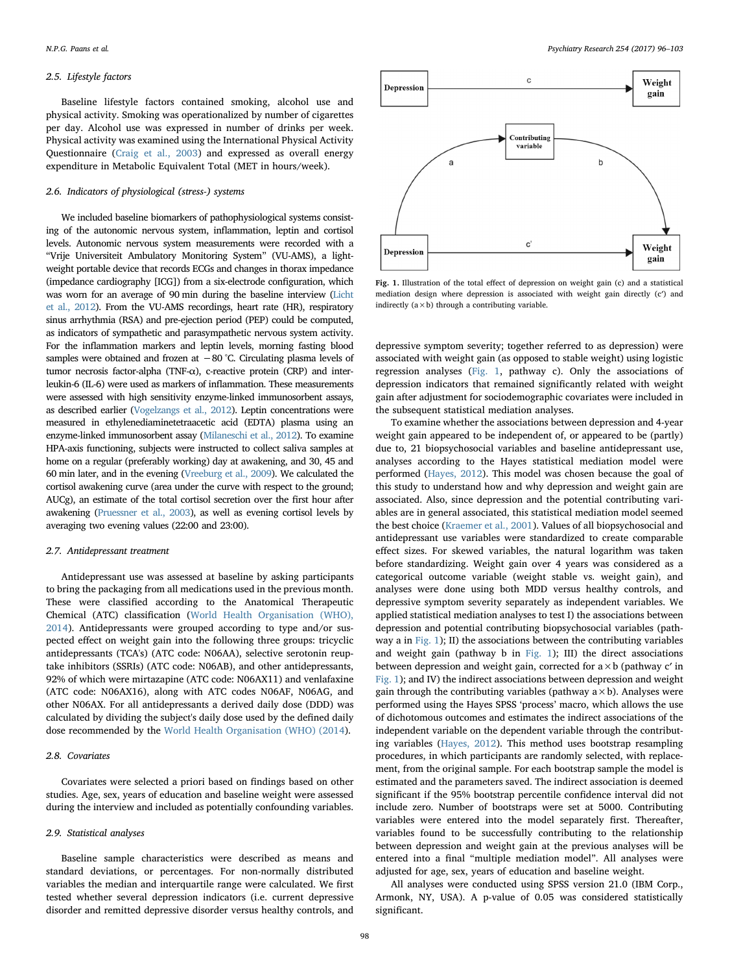# 2.5. Lifestyle factors

Baseline lifestyle factors contained smoking, alcohol use and physical activity. Smoking was operationalized by number of cigarettes per day. Alcohol use was expressed in number of drinks per week. Physical activity was examined using the International Physical Activity Questionnaire [\(Craig et al., 2003\)](#page-6-12) and expressed as overall energy expenditure in Metabolic Equivalent Total (MET in hours/week).

# 2.6. Indicators of physiological (stress-) systems

We included baseline biomarkers of pathophysiological systems consisting of the autonomic nervous system, inflammation, leptin and cortisol levels. Autonomic nervous system measurements were recorded with a "Vrije Universiteit Ambulatory Monitoring System" (VU-AMS), a lightweight portable device that records ECGs and changes in thorax impedance (impedance cardiography [ICG]) from a six-electrode configuration, which was worn for an average of 90 min during the baseline interview [\(Licht](#page-6-13) [et al., 2012\)](#page-6-13). From the VU-AMS recordings, heart rate (HR), respiratory sinus arrhythmia (RSA) and pre-ejection period (PEP) could be computed, as indicators of sympathetic and parasympathetic nervous system activity. For the inflammation markers and leptin levels, morning fasting blood samples were obtained and frozen at −80 °C. Circulating plasma levels of tumor necrosis factor-alpha (TNF-α), c-reactive protein (CRP) and interleukin-6 (IL-6) were used as markers of inflammation. These measurements were assessed with high sensitivity enzyme-linked immunosorbent assays, as described earlier [\(Vogelzangs et al., 2012\)](#page-7-13). Leptin concentrations were measured in ethylenediaminetetraacetic acid (EDTA) plasma using an enzyme-linked immunosorbent assay [\(Milaneschi et al., 2012](#page-6-14)). To examine HPA-axis functioning, subjects were instructed to collect saliva samples at home on a regular (preferably working) day at awakening, and 30, 45 and 60 min later, and in the evening ([Vreeburg et al., 2009\)](#page-7-14). We calculated the cortisol awakening curve (area under the curve with respect to the ground; AUCg), an estimate of the total cortisol secretion over the first hour after awakening [\(Pruessner et al., 2003](#page-7-15)), as well as evening cortisol levels by averaging two evening values (22:00 and 23:00).

# 2.7. Antidepressant treatment

Antidepressant use was assessed at baseline by asking participants to bring the packaging from all medications used in the previous month. These were classified according to the Anatomical Therapeutic Chemical (ATC) classification [\(World Health Organisation \(WHO\),](#page-7-16) [2014\)](#page-7-16). Antidepressants were grouped according to type and/or suspected effect on weight gain into the following three groups: tricyclic antidepressants (TCA's) (ATC code: N06AA), selective serotonin reuptake inhibitors (SSRIs) (ATC code: N06AB), and other antidepressants, 92% of which were mirtazapine (ATC code: N06AX11) and venlafaxine (ATC code: N06AX16), along with ATC codes N06AF, N06AG, and other N06AX. For all antidepressants a derived daily dose (DDD) was calculated by dividing the subject's daily dose used by the defined daily dose recommended by the [World Health Organisation \(WHO\) \(2014](#page-7-16)).

# 2.8. Covariates

Covariates were selected a priori based on findings based on other studies. Age, sex, years of education and baseline weight were assessed during the interview and included as potentially confounding variables.

# 2.9. Statistical analyses

Baseline sample characteristics were described as means and standard deviations, or percentages. For non-normally distributed variables the median and interquartile range were calculated. We first tested whether several depression indicators (i.e. current depressive disorder and remitted depressive disorder versus healthy controls, and

<span id="page-2-0"></span>

Fig. 1. Illustration of the total effect of depression on weight gain (c) and a statistical mediation design where depression is associated with weight gain directly (c′) and indirectly  $(a \times b)$  through a contributing variable.

depressive symptom severity; together referred to as depression) were associated with weight gain (as opposed to stable weight) using logistic regression analyses [\(Fig. 1](#page-2-0), pathway c). Only the associations of depression indicators that remained significantly related with weight gain after adjustment for sociodemographic covariates were included in the subsequent statistical mediation analyses.

To examine whether the associations between depression and 4-year weight gain appeared to be independent of, or appeared to be (partly) due to, 21 biopsychosocial variables and baseline antidepressant use, analyses according to the Hayes statistical mediation model were performed [\(Hayes, 2012\)](#page-6-15). This model was chosen because the goal of this study to understand how and why depression and weight gain are associated. Also, since depression and the potential contributing variables are in general associated, this statistical mediation model seemed the best choice ([Kraemer et al., 2001\)](#page-6-16). Values of all biopsychosocial and antidepressant use variables were standardized to create comparable effect sizes. For skewed variables, the natural logarithm was taken before standardizing. Weight gain over 4 years was considered as a categorical outcome variable (weight stable vs. weight gain), and analyses were done using both MDD versus healthy controls, and depressive symptom severity separately as independent variables. We applied statistical mediation analyses to test I) the associations between depression and potential contributing biopsychosocial variables (pathway a in [Fig. 1\)](#page-2-0); II) the associations between the contributing variables and weight gain (pathway b in [Fig. 1\)](#page-2-0); III) the direct associations between depression and weight gain, corrected for  $a \times b$  (pathway c' in [Fig. 1](#page-2-0)); and IV) the indirect associations between depression and weight gain through the contributing variables (pathway  $a \times b$ ). Analyses were performed using the Hayes SPSS 'process' macro, which allows the use of dichotomous outcomes and estimates the indirect associations of the independent variable on the dependent variable through the contributing variables ([Hayes, 2012](#page-6-15)). This method uses bootstrap resampling procedures, in which participants are randomly selected, with replacement, from the original sample. For each bootstrap sample the model is estimated and the parameters saved. The indirect association is deemed significant if the 95% bootstrap percentile confidence interval did not include zero. Number of bootstraps were set at 5000. Contributing variables were entered into the model separately first. Thereafter, variables found to be successfully contributing to the relationship between depression and weight gain at the previous analyses will be entered into a final "multiple mediation model". All analyses were adjusted for age, sex, years of education and baseline weight.

All analyses were conducted using SPSS version 21.0 (IBM Corp., Armonk, NY, USA). A p-value of 0.05 was considered statistically significant.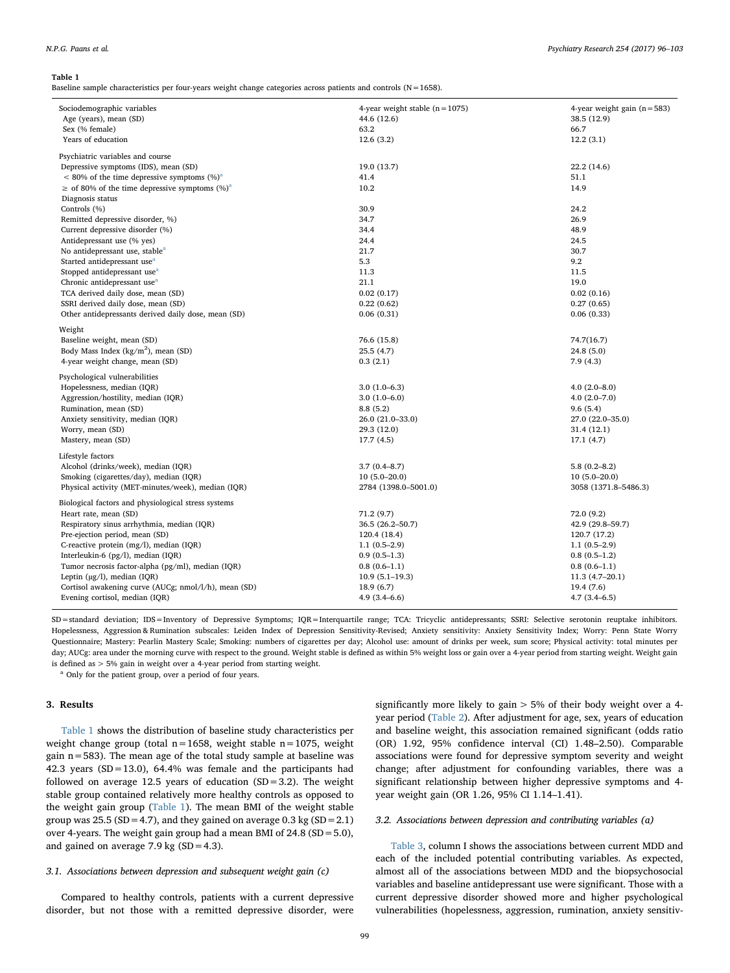#### <span id="page-3-0"></span>Table 1

Baseline sample characteristics per four-years weight change categories across patients and controls (N=1658).

| Sociodemographic variables<br>Age (years), mean (SD)   | 4-year weight stable $(n=1075)$<br>44.6 (12.6) | 4-year weight gain $(n=583)$<br>38.5 (12.9) |
|--------------------------------------------------------|------------------------------------------------|---------------------------------------------|
| Sex (% female)                                         | 63.2                                           | 66.7                                        |
|                                                        |                                                |                                             |
| Years of education                                     | 12.6(3.2)                                      | 12.2(3.1)                                   |
| Psychiatric variables and course                       |                                                |                                             |
| Depressive symptoms (IDS), mean (SD)                   | 19.0 (13.7)                                    | 22.2 (14.6)                                 |
| $<$ 80% of the time depressive symptoms $(\%)^a$       | 41.4                                           | 51.1                                        |
| $\geq$ of 80% of the time depressive symptoms $(\%)^a$ | 10.2                                           | 14.9                                        |
| Diagnosis status                                       |                                                |                                             |
| Controls (%)                                           | 30.9                                           | 24.2                                        |
| Remitted depressive disorder, %)                       | 34.7                                           | 26.9                                        |
| Current depressive disorder (%)                        | 34.4                                           | 48.9                                        |
| Antidepressant use (% yes)                             | 24.4                                           | 24.5                                        |
| No antidepressant use, stable <sup>a</sup>             | 21.7                                           | 30.7                                        |
| Started antidepressant use <sup>a</sup>                | 5.3                                            | 9.2                                         |
| Stopped antidepressant use <sup>a</sup>                | 11.3                                           | 11.5                                        |
| Chronic antidepressant use <sup>a</sup>                | 21.1                                           | 19.0                                        |
| TCA derived daily dose, mean (SD)                      | 0.02(0.17)                                     | 0.02(0.16)                                  |
| SSRI derived daily dose, mean (SD)                     | 0.22(0.62)                                     | 0.27(0.65)                                  |
| Other antidepressants derived daily dose, mean (SD)    | 0.06(0.31)                                     | 0.06(0.33)                                  |
|                                                        |                                                |                                             |
| Weight                                                 |                                                |                                             |
| Baseline weight, mean (SD)                             | 76.6 (15.8)                                    | 74.7(16.7)                                  |
| Body Mass Index ( $\text{kg/m}^2$ ), mean (SD)         | 25.5(4.7)                                      | 24.8 (5.0)                                  |
| 4-year weight change, mean (SD)                        | 0.3(2.1)                                       | 7.9(4.3)                                    |
| Psychological vulnerabilities                          |                                                |                                             |
| Hopelessness, median (IQR)                             | $3.0(1.0-6.3)$                                 | $4.0(2.0-8.0)$                              |
| Aggression/hostility, median (IQR)                     | $3.0(1.0-6.0)$                                 | $4.0(2.0 - 7.0)$                            |
| Rumination, mean (SD)                                  | 8.8(5.2)                                       | 9.6(5.4)                                    |
| Anxiety sensitivity, median (IQR)                      | 26.0 (21.0-33.0)                               | 27.0 (22.0-35.0)                            |
| Worry, mean (SD)                                       | 29.3 (12.0)                                    | 31.4 (12.1)                                 |
| Mastery, mean (SD)                                     | 17.7(4.5)                                      | 17.1(4.7)                                   |
| Lifestyle factors                                      |                                                |                                             |
| Alcohol (drinks/week), median (IQR)                    | $3.7(0.4 - 8.7)$                               | $5.8(0.2 - 8.2)$                            |
| Smoking (cigarettes/day), median (IQR)                 | $10(5.0-20.0)$                                 | $10(5.0-20.0)$                              |
|                                                        | 2784 (1398.0-5001.0)                           | 3058 (1371.8-5486.3)                        |
| Physical activity (MET-minutes/week), median (IQR)     |                                                |                                             |
| Biological factors and physiological stress systems    |                                                |                                             |
| Heart rate, mean (SD)                                  | 71.2 (9.7)                                     | 72.0 (9.2)                                  |
| Respiratory sinus arrhythmia, median (IQR)             | 36.5 (26.2-50.7)                               | 42.9 (29.8-59.7)                            |
| Pre-ejection period, mean (SD)                         | 120.4 (18.4)                                   | 120.7 (17.2)                                |
| C-reactive protein (mg/l), median (IQR)                | $1.1(0.5-2.9)$                                 | $1.1(0.5-2.9)$                              |
| Interleukin-6 (pg/l), median (IQR)                     | $0.9(0.5-1.3)$                                 | $0.8(0.5-1.2)$                              |
| Tumor necrosis factor-alpha (pg/ml), median (IQR)      | $0.8(0.6-1.1)$                                 | $0.8(0.6-1.1)$                              |
| Leptin $(\mu g/l)$ , median (IQR)                      | $10.9(5.1-19.3)$                               | $11.3(4.7-20.1)$                            |
| Cortisol awakening curve (AUCg; nmol/l/h), mean (SD)   | 18.9(6.7)                                      | 19.4 (7.6)                                  |
| Evening cortisol, median (IQR)                         | $4.9(3.4 - 6.6)$                               | $4.7(3.4-6.5)$                              |
|                                                        |                                                |                                             |

SD=standard deviation; IDS=Inventory of Depressive Symptoms; IQR=Interquartile range; TCA: Tricyclic antidepressants; SSRI: Selective serotonin reuptake inhibitors. Hopelessness, Aggression & Rumination subscales: Leiden Index of Depression Sensitivity-Revised; Anxiety sensitivity: Anxiety Sensitivity Index; Worry: Penn State Worry Questionnaire; Mastery: Pearlin Mastery Scale; Smoking: numbers of cigarettes per day; Alcohol use: amount of drinks per week, sum score; Physical activity: total minutes per day; AUCg: area under the morning curve with respect to the ground. Weight stable is defined as within 5% weight loss or gain over a 4-year period from starting weight. Weight gain is defined as > 5% gain in weight over a 4-year period from starting weight.

<span id="page-3-1"></span>Only for the patient group, over a period of four years.

# 3. Results

[Table 1](#page-3-0) shows the distribution of baseline study characteristics per weight change group (total  $n=1658$ , weight stable  $n=1075$ , weight gain n=583). The mean age of the total study sample at baseline was 42.3 years (SD=13.0), 64.4% was female and the participants had followed on average 12.5 years of education  $(SD=3.2)$ . The weight stable group contained relatively more healthy controls as opposed to the weight gain group [\(Table 1](#page-3-0)). The mean BMI of the weight stable group was  $25.5$  (SD = 4.7), and they gained on average 0.3 kg (SD = 2.1) over 4-years. The weight gain group had a mean BMI of 24.8 (SD=5.0), and gained on average  $7.9 \text{ kg}$  (SD = 4.3).

# 3.1. Associations between depression and subsequent weight gain (c)

Compared to healthy controls, patients with a current depressive disorder, but not those with a remitted depressive disorder, were

significantly more likely to gain > 5% of their body weight over a 4 year period [\(Table 2\)](#page-4-0). After adjustment for age, sex, years of education and baseline weight, this association remained significant (odds ratio (OR) 1.92, 95% confidence interval (CI) 1.48–2.50). Comparable associations were found for depressive symptom severity and weight change; after adjustment for confounding variables, there was a significant relationship between higher depressive symptoms and 4 year weight gain (OR 1.26, 95% CI 1.14–1.41).

# 3.2. Associations between depression and contributing variables (a)

[Table 3](#page-4-1), column I shows the associations between current MDD and each of the included potential contributing variables. As expected, almost all of the associations between MDD and the biopsychosocial variables and baseline antidepressant use were significant. Those with a current depressive disorder showed more and higher psychological vulnerabilities (hopelessness, aggression, rumination, anxiety sensitiv-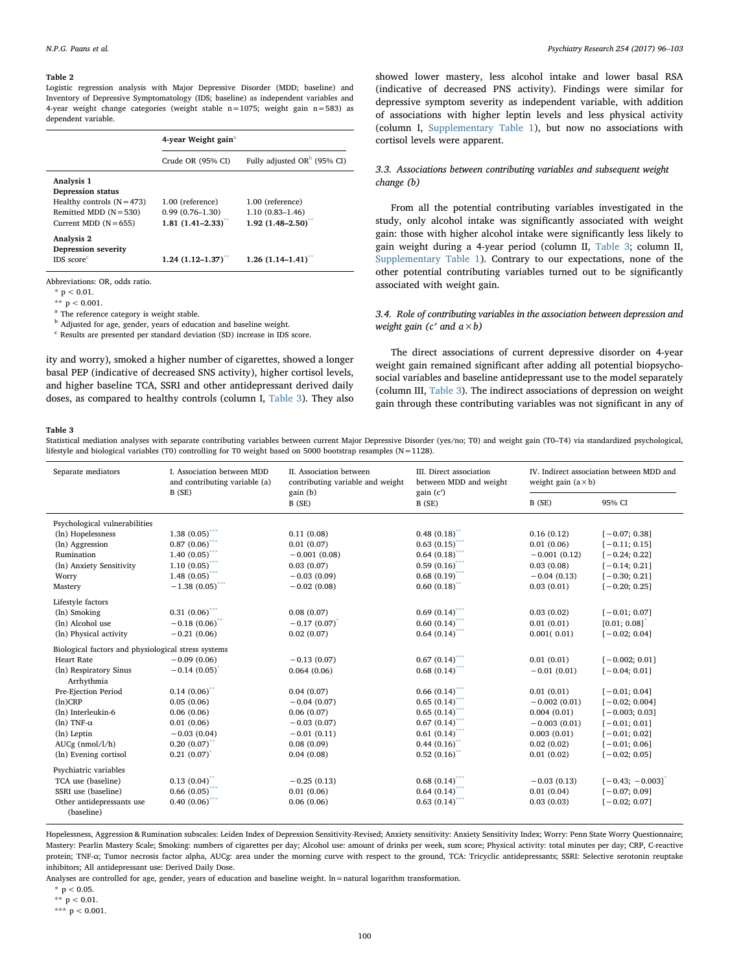#### <span id="page-4-0"></span>Table 2

Logistic regression analysis with Major Depressive Disorder (MDD; baseline) and Inventory of Depressive Symptomatology (IDS; baseline) as independent variables and 4-year weight change categories (weight stable n=1075; weight gain n=583) as dependent variable.

| 4-year Weight gain <sup>a</sup> |                                |  |
|---------------------------------|--------------------------------|--|
| Crude OR (95% CI)               | Fully adjusted OR $b$ (95% CI) |  |
|                                 |                                |  |
|                                 |                                |  |
| 1.00 (reference)                | 1.00 (reference)               |  |
| $0.99(0.76 - 1.30)$             | $1.10(0.83 - 1.46)$            |  |
| $1.81 (1.41 - 2.33)^{**}$       | $1.92(1.48 - 2.50)^{**}$       |  |
|                                 |                                |  |
|                                 |                                |  |
| $1.24(1.12 - 1.37)^{**}$        | $1.26$ $(1.14 - 1.41)^{**}$    |  |
|                                 |                                |  |

Abbreviations: OR, odds ratio.

 $*$  p < 0.01.

<span id="page-4-4"></span>\*\*  $p < 0.001$ .

<span id="page-4-2"></span><sup>a</sup> The reference category is weight stable.

<span id="page-4-3"></span><sup>b</sup> Adjusted for age, gender, years of education and baseline weight.

<span id="page-4-5"></span><sup>c</sup> Results are presented per standard deviation (SD) increase in IDS score.

ity and worry), smoked a higher number of cigarettes, showed a longer basal PEP (indicative of decreased SNS activity), higher cortisol levels, and higher baseline TCA, SSRI and other antidepressant derived daily doses, as compared to healthy controls (column I, [Table 3](#page-4-1)). They also

showed lower mastery, less alcohol intake and lower basal RSA (indicative of decreased PNS activity). Findings were similar for depressive symptom severity as independent variable, with addition of associations with higher leptin levels and less physical activity (column I, Supplementary Table 1), but now no associations with cortisol levels were apparent.

# 3.3. Associations between contributing variables and subsequent weight change (b)

From all the potential contributing variables investigated in the study, only alcohol intake was significantly associated with weight gain: those with higher alcohol intake were significantly less likely to gain weight during a 4-year period (column II, [Table 3;](#page-4-1) column II, Supplementary Table 1). Contrary to our expectations, none of the other potential contributing variables turned out to be significantly associated with weight gain.

# 3.4. Role of contributing variables in the association between depression and weight gain (c' and  $a \times b$ )

The direct associations of current depressive disorder on 4-year weight gain remained significant after adding all potential biopsychosocial variables and baseline antidepressant use to the model separately (column III, [Table 3\)](#page-4-1). The indirect associations of depression on weight gain through these contributing variables was not significant in any of

#### <span id="page-4-1"></span>Table 3

Statistical mediation analyses with separate contributing variables between current Major Depressive Disorder (yes/no; T0) and weight gain (T0–T4) via standardized psychological, lifestyle and biological variables (T0) controlling for T0 weight based on 5000 bootstrap resamples ( $N=1128$ ).

| Separate mediators                                  | L. Association between MDD<br>and contributing variable (a)<br>B(SE) | II. Association between<br>contributing variable and weight<br>gain (b) | III. Direct association<br>between MDD and weight<br>gain(c') | IV. Indirect association between MDD and<br>weight gain $(a \times b)$ |                   |
|-----------------------------------------------------|----------------------------------------------------------------------|-------------------------------------------------------------------------|---------------------------------------------------------------|------------------------------------------------------------------------|-------------------|
|                                                     |                                                                      | B (SE)                                                                  | B(SE)                                                         | B(SE)                                                                  | 95% CI            |
| Psychological vulnerabilities                       |                                                                      |                                                                         |                                                               |                                                                        |                   |
| (ln) Hopelessness                                   | 1.38(0.05)                                                           | 0.11(0.08)                                                              | 0.48(0.18)                                                    | 0.16(0.12)                                                             | $[-0.07; 0.38]$   |
| (ln) Aggression                                     | 0.87(0.06)                                                           | 0.01(0.07)                                                              | 0.63(0.15)                                                    | 0.01(0.06)                                                             | $[-0.11; 0.15]$   |
| Rumination                                          | 1.40 ${(0.05)}^{\ast\ast\ast}$                                       | $-0.001(0.08)$                                                          | 0.64(0.18)                                                    | $-0.001(0.12)$                                                         | $[-0.24; 0.22]$   |
| (ln) Anxiety Sensitivity                            | $1.10\,\, (0.05)^{***}$                                              | 0.03(0.07)                                                              | 0.59(0.16)                                                    | 0.03(0.08)                                                             | $[-0.14; 0.21]$   |
| Worry                                               | 1.48 $(0.05)$ ***                                                    | $-0.03(0.09)$                                                           | $0.68(0.19)$ **                                               | $-0.04(0.13)$                                                          | $[-0.30; 0.21]$   |
| Mastery                                             | $-1.38(0.05)$ ***                                                    | $-0.02(0.08)$                                                           | $0.60(0.18)$ **                                               | 0.03(0.01)                                                             | $[-0.20; 0.25]$   |
| Lifestyle factors                                   |                                                                      |                                                                         |                                                               |                                                                        |                   |
| (ln) Smoking                                        | $0.31 (0.06)$ ***                                                    | 0.08(0.07)                                                              | $0.69(0.14)$ ***                                              | 0.03(0.02)                                                             | $[-0.01; 0.07]$   |
| (ln) Alcohol use                                    | $-0.18(0.06)^{4}$                                                    | $-0.17(0.07)$ <sup>*</sup>                                              | $0.60(0.14)$ **                                               | 0.01(0.01)                                                             | [0.01; 0.08]      |
| (ln) Physical activity                              | $-0.21(0.06)$                                                        | 0.02(0.07)                                                              | $0.64\ (0.14)^{***}$                                          | 0.001(0.01)                                                            | $[-0.02; 0.04]$   |
| Biological factors and physiological stress systems |                                                                      |                                                                         |                                                               |                                                                        |                   |
| <b>Heart Rate</b>                                   | $-0.09(0.06)$                                                        | $-0.13(0.07)$                                                           | $0.67(0.14)$ ***                                              | 0.01(0.01)                                                             | $[-0.002; 0.01]$  |
| (ln) Respiratory Sinus<br>Arrhythmia                | $-0.14(0.05)$                                                        | 0.064(0.06)                                                             | 0.68(0.14)                                                    | $-0.01(0.01)$                                                          | $[-0.04; 0.01]$   |
| Pre-Ejection Period                                 | $0.14(0.06)$ **                                                      | 0.04(0.07)                                                              | $0.66(0.14)$ ***                                              | 0.01(0.01)                                                             | $[-0.01; 0.04]$   |
| $(ln)$ CRP                                          | 0.05(0.06)                                                           | $-0.04(0.07)$                                                           | 0.65(0.14)                                                    | $-0.002(0.01)$                                                         | $[-0.02; 0.004]$  |
| (ln) Interleukin-6                                  | 0.06(0.06)                                                           | 0.06(0.07)                                                              | $0.65(0.14)$ ***                                              | 0.004(0.01)                                                            | $[-0.003; 0.03]$  |
| $(ln)$ TNF- $\alpha$                                | 0.01(0.06)                                                           | $-0.03(0.07)$                                                           | 0.67(0.14)                                                    | $-0.003(0.01)$                                                         | $[-0.01; 0.01]$   |
| (ln) Leptin                                         | $-0.03(0.04)$                                                        | $-0.01(0.11)$                                                           | $0.61(0.14)$ ***                                              | 0.003(0.01)                                                            | $[-0.01; 0.02]$   |
| $AUCg$ (nmol/l/h)                                   | 0.20(0.07)                                                           | 0.08(0.09)                                                              | 0.44(0.16)                                                    | 0.02(0.02)                                                             | $[-0.01; 0.06]$   |
| (ln) Evening cortisol                               | 0.21(0.07)                                                           | 0.04(0.08)                                                              | 0.52(0.16)                                                    | 0.01(0.02)                                                             | $[-0.02; 0.05]$   |
| Psychiatric variables                               |                                                                      |                                                                         |                                                               |                                                                        |                   |
| TCA use (baseline)                                  | $0.13(0.04)$ **                                                      | $-0.25(0.13)$                                                           | 0.68(0.14)                                                    | $-0.03(0.13)$                                                          | $[-0.43; -0.003]$ |
| SSRI use (baseline)                                 | 0.66(0.05)                                                           | 0.01(0.06)                                                              | 0.64(0.14)                                                    | 0.01(0.04)                                                             | $[-0.07; 0.09]$   |
| Other antidepressants use<br>(baseline)             | 0.40(0.06)                                                           | 0.06(0.06)                                                              | 0.63(0.14)                                                    | 0.03(0.03)                                                             | $[-0.02; 0.07]$   |

Hopelessness, Aggression & Rumination subscales: Leiden Index of Depression Sensitivity-Revised; Anxiety sensitivity: Anxiety Sensitivity Index; Worry: Penn State Worry Questionnaire; Mastery: Pearlin Mastery Scale; Smoking: numbers of cigarettes per day; Alcohol use: amount of drinks per week, sum score; Physical activity: total minutes per day; CRP, C-reactive protein; TNF-α; Tumor necrosis factor alpha, AUCg: area under the morning curve with respect to the ground, TCA: Tricyclic antidepressants; SSRI: Selective serotonin reuptake inhibitors; All antidepressant use: Derived Daily Dose.

Analyses are controlled for age, gender, years of education and baseline weight. ln=natural logarithm transformation.

<span id="page-4-8"></span> $*$  p < 0.05.

<span id="page-4-7"></span>\*\* p < 0.01.

<span id="page-4-6"></span>\*\*\*  $p < 0.001$ .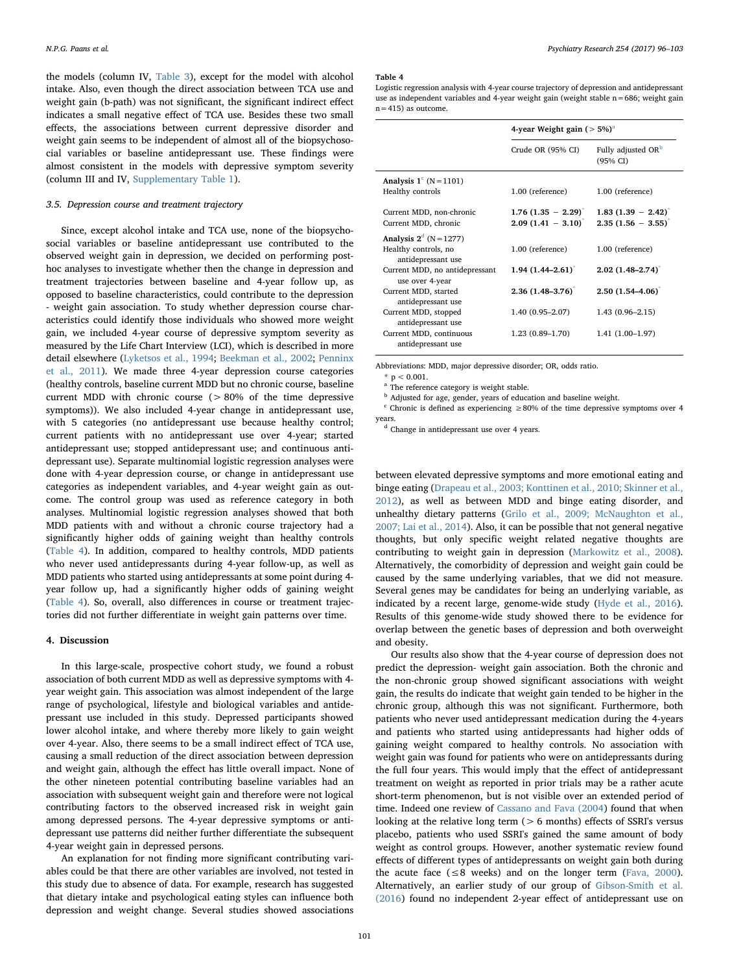the models (column IV, [Table 3\)](#page-4-1), except for the model with alcohol intake. Also, even though the direct association between TCA use and weight gain (b-path) was not significant, the significant indirect effect indicates a small negative effect of TCA use. Besides these two small effects, the associations between current depressive disorder and weight gain seems to be independent of almost all of the biopsychosocial variables or baseline antidepressant use. These findings were almost consistent in the models with depressive symptom severity (column III and IV, Supplementary Table 1).

# 3.5. Depression course and treatment trajectory

Since, except alcohol intake and TCA use, none of the biopsychosocial variables or baseline antidepressant use contributed to the observed weight gain in depression, we decided on performing posthoc analyses to investigate whether then the change in depression and treatment trajectories between baseline and 4-year follow up, as opposed to baseline characteristics, could contribute to the depression - weight gain association. To study whether depression course characteristics could identify those individuals who showed more weight gain, we included 4-year course of depressive symptom severity as measured by the Life Chart Interview (LCI), which is described in more detail elsewhere [\(Lyketsos et al., 1994;](#page-6-17) [Beekman et al., 2002](#page-6-18); [Penninx](#page-7-17) [et al., 2011\)](#page-7-17). We made three 4-year depression course categories (healthy controls, baseline current MDD but no chronic course, baseline current MDD with chronic course (> 80% of the time depressive symptoms)). We also included 4-year change in antidepressant use, with 5 categories (no antidepressant use because healthy control; current patients with no antidepressant use over 4-year; started antidepressant use; stopped antidepressant use; and continuous antidepressant use). Separate multinomial logistic regression analyses were done with 4-year depression course, or change in antidepressant use categories as independent variables, and 4-year weight gain as outcome. The control group was used as reference category in both analyses. Multinomial logistic regression analyses showed that both MDD patients with and without a chronic course trajectory had a significantly higher odds of gaining weight than healthy controls ([Table 4\)](#page-5-0). In addition, compared to healthy controls, MDD patients who never used antidepressants during 4-year follow-up, as well as MDD patients who started using antidepressants at some point during 4 year follow up, had a significantly higher odds of gaining weight ([Table 4](#page-5-0)). So, overall, also differences in course or treatment trajectories did not further differentiate in weight gain patterns over time.

# 4. Discussion

In this large-scale, prospective cohort study, we found a robust association of both current MDD as well as depressive symptoms with 4 year weight gain. This association was almost independent of the large range of psychological, lifestyle and biological variables and antidepressant use included in this study. Depressed participants showed lower alcohol intake, and where thereby more likely to gain weight over 4-year. Also, there seems to be a small indirect effect of TCA use, causing a small reduction of the direct association between depression and weight gain, although the effect has little overall impact. None of the other nineteen potential contributing baseline variables had an association with subsequent weight gain and therefore were not logical contributing factors to the observed increased risk in weight gain among depressed persons. The 4-year depressive symptoms or antidepressant use patterns did neither further differentiate the subsequent 4-year weight gain in depressed persons.

An explanation for not finding more significant contributing variables could be that there are other variables are involved, not tested in this study due to absence of data. For example, research has suggested that dietary intake and psychological eating styles can influence both depression and weight change. Several studies showed associations

#### <span id="page-5-0"></span>Table 4

Logistic regression analysis with 4-year course trajectory of depression and antidepressant use as independent variables and 4-year weight gain (weight stable n=686; weight gain  $n = 415$ ) as outcome.

|                                                     | 4-year Weight gain ( $>$ 5%) <sup>a</sup>                 |                                                       |  |
|-----------------------------------------------------|-----------------------------------------------------------|-------------------------------------------------------|--|
|                                                     | Crude OR (95% CI)                                         | Fully adjusted OR <sup>b</sup><br>(95% CI)            |  |
| Analysis $1^{\circ}$ (N = 1101)<br>Healthy controls | 1.00 (reference)                                          | 1.00 (reference)                                      |  |
| Current MDD, non-chronic<br>Current MDD, chronic    | $1.76$ $(1.35 - 2.29)^{*}$<br>$2.09(1.41 - 3.10)^{\circ}$ | $1.83(1.39 - 2.42)^{*}$<br>$2.35$ $(1.56 - 3.55)^{*}$ |  |
| Analysis $2d$ (N = 1277)                            |                                                           |                                                       |  |
| Healthy controls, no<br>antidepressant use          | 1.00 (reference)                                          | 1.00 (reference)                                      |  |
| Current MDD, no antidepressant<br>use over 4-year   | $1.94(1.44 - 2.61)^{*}$                                   | $2.02(1.48 - 2.74)$                                   |  |
| Current MDD, started<br>antidepressant use          | $2.36(1.48 - 3.76)$                                       | $2.50(1.54 - 4.06)$                                   |  |
| Current MDD, stopped<br>antidepressant use          | $1.40(0.95 - 2.07)$                                       | $1.43(0.96 - 2.15)$                                   |  |
| Current MDD, continuous<br>antidepressant use       | $1.23(0.89-1.70)$                                         | $1.41(1.00-1.97)$                                     |  |

Abbreviations: MDD, major depressive disorder; OR, odds ratio.

<span id="page-5-4"></span> $p \leq 0.001$ .

<span id="page-5-1"></span>The reference category is weight stable.

<span id="page-5-2"></span> $<sup>b</sup>$  Adjusted for age, gender, years of education and baseline weight.</sup>

<span id="page-5-3"></span><sup>c</sup> Chronic is defined as experiencing  $\geq$  80% of the time depressive symptoms over 4 years.

<span id="page-5-5"></span><sup>d</sup> Change in antidepressant use over 4 years.

between elevated depressive symptoms and more emotional eating and binge eating ([Drapeau et al., 2003; Konttinen et al., 2010; Skinner et al.,](#page-6-19) [2012\)](#page-6-19), as well as between MDD and binge eating disorder, and unhealthy dietary patterns [\(Grilo et al., 2009; McNaughton et al.,](#page-6-20) [2007; Lai et al., 2014](#page-6-20)). Also, it can be possible that not general negative thoughts, but only specific weight related negative thoughts are contributing to weight gain in depression [\(Markowitz et al., 2008](#page-6-2)). Alternatively, the comorbidity of depression and weight gain could be caused by the same underlying variables, that we did not measure. Several genes may be candidates for being an underlying variable, as indicated by a recent large, genome-wide study ([Hyde et al., 2016](#page-6-21)). Results of this genome-wide study showed there to be evidence for overlap between the genetic bases of depression and both overweight and obesity.

Our results also show that the 4-year course of depression does not predict the depression- weight gain association. Both the chronic and the non-chronic group showed significant associations with weight gain, the results do indicate that weight gain tended to be higher in the chronic group, although this was not significant. Furthermore, both patients who never used antidepressant medication during the 4-years and patients who started using antidepressants had higher odds of gaining weight compared to healthy controls. No association with weight gain was found for patients who were on antidepressants during the full four years. This would imply that the effect of antidepressant treatment on weight as reported in prior trials may be a rather acute short-term phenomenon, but is not visible over an extended period of time. Indeed one review of [Cassano and Fava \(2004\)](#page-6-22) found that when looking at the relative long term (> 6 months) effects of SSRI's versus placebo, patients who used SSRI's gained the same amount of body weight as control groups. However, another systematic review found effects of different types of antidepressants on weight gain both during the acute face ( $\leq 8$  weeks) and on the longer term [\(Fava, 2000](#page-6-7)). Alternatively, an earlier study of our group of [Gibson-Smith et al.](#page-6-8) [\(2016\)](#page-6-8) found no independent 2-year effect of antidepressant use on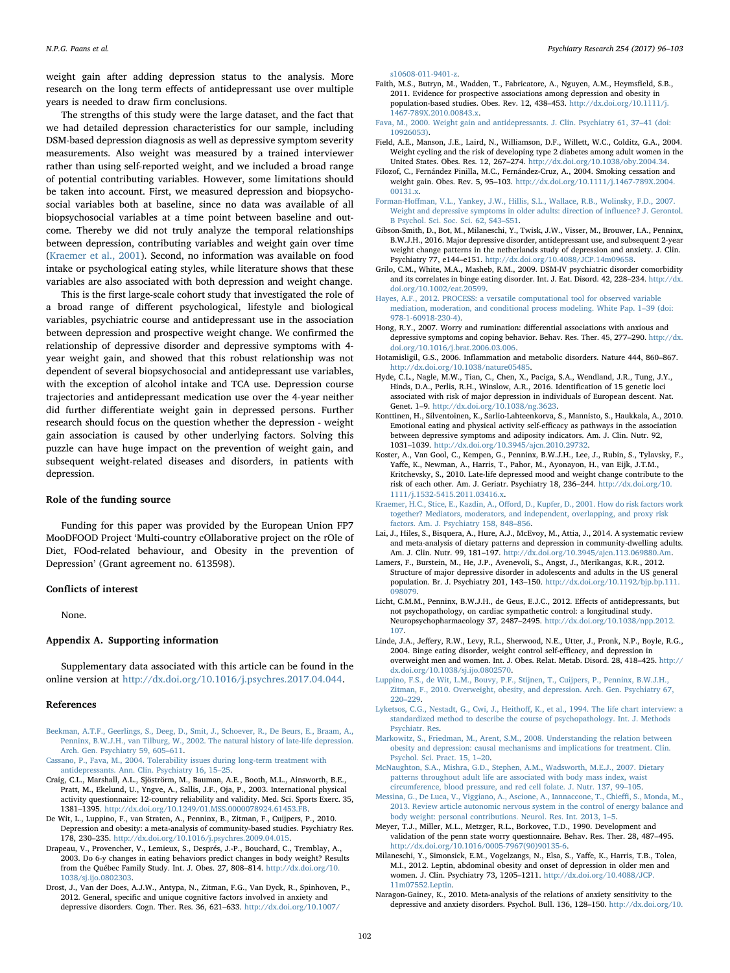weight gain after adding depression status to the analysis. More research on the long term effects of antidepressant use over multiple years is needed to draw firm conclusions.

The strengths of this study were the large dataset, and the fact that we had detailed depression characteristics for our sample, including DSM-based depression diagnosis as well as depressive symptom severity measurements. Also weight was measured by a trained interviewer rather than using self-reported weight, and we included a broad range of potential contributing variables. However, some limitations should be taken into account. First, we measured depression and biopsychosocial variables both at baseline, since no data was available of all biopsychosocial variables at a time point between baseline and outcome. Thereby we did not truly analyze the temporal relationships between depression, contributing variables and weight gain over time ([Kraemer et al., 2001\)](#page-6-16). Second, no information was available on food intake or psychological eating styles, while literature shows that these variables are also associated with both depression and weight change.

This is the first large-scale cohort study that investigated the role of a broad range of different psychological, lifestyle and biological variables, psychiatric course and antidepressant use in the association between depression and prospective weight change. We confirmed the relationship of depressive disorder and depressive symptoms with 4 year weight gain, and showed that this robust relationship was not dependent of several biopsychosocial and antidepressant use variables, with the exception of alcohol intake and TCA use. Depression course trajectories and antidepressant medication use over the 4-year neither did further differentiate weight gain in depressed persons. Further research should focus on the question whether the depression - weight gain association is caused by other underlying factors. Solving this puzzle can have huge impact on the prevention of weight gain, and subsequent weight-related diseases and disorders, in patients with depression.

# Role of the funding source

Funding for this paper was provided by the European Union FP7 MooDFOOD Project 'Multi-country cOllaborative project on the rOle of Diet, FOod-related behaviour, and Obesity in the prevention of Depression' (Grant agreement no. 613598).

### Conflicts of interest

None.

#### Appendix A. Supporting information

Supplementary data associated with this article can be found in the online version at <http://dx.doi.org/10.1016/j.psychres.2017.04.044>.

#### References

- <span id="page-6-18"></span>[Beekman, A.T.F., Geerlings, S., Deeg, D., Smit, J., Schoever, R., De Beurs, E., Braam, A.,](http://refhub.elsevier.com/S0165-1781(17)30026-4/sbref1) [Penninx, B.W.J.H., van Tilburg, W., 2002. The natural history of late-life depression.](http://refhub.elsevier.com/S0165-1781(17)30026-4/sbref1) [Arch. Gen. Psychiatry 59, 605](http://refhub.elsevier.com/S0165-1781(17)30026-4/sbref1)–611.
- <span id="page-6-22"></span>[Cassano, P., Fava, M., 2004. Tolerability issues during long-term treatment with](http://refhub.elsevier.com/S0165-1781(17)30026-4/sbref2) [antidepressants. Ann. Clin. Psychiatry 16, 15](http://refhub.elsevier.com/S0165-1781(17)30026-4/sbref2)–25.
- <span id="page-6-12"></span>Craig, C.L., Marshall, A.L., Sjöströrm, M., Bauman, A.E., Booth, M.L., Ainsworth, B.E., Pratt, M., Ekelund, U., Yngve, A., Sallis, J.F., Oja, P., 2003. International physical activity questionnaire: 12-country reliability and validity. Med. Sci. Sports Exerc. 35, 1381–1395. [http://dx.doi.org/10.1249/01.MSS.0000078924.61453.FB.](http://dx.doi.org/10.1249/01.MSS.0000078924.61453.FB)
- <span id="page-6-0"></span>De Wit, L., Luppino, F., van Straten, A., Penninx, B., Zitman, F., Cuijpers, P., 2010. Depression and obesity: a meta-analysis of community-based studies. Psychiatry Res. 178, 230–235. <http://dx.doi.org/10.1016/j.psychres.2009.04.015>.
- <span id="page-6-19"></span>Drapeau, V., Provencher, V., Lemieux, S., Després, J.-P., Bouchard, C., Tremblay, A., 2003. Do 6-y changes in eating behaviors predict changes in body weight? Results from the Québec Family Study. Int. J. Obes. 27, 808–814. [http://dx.doi.org/10.](http://dx.doi.org/10.1038/sj.ijo.0802303) [1038/sj.ijo.0802303](http://dx.doi.org/10.1038/sj.ijo.0802303).
- Drost, J., Van der Does, A.J.W., Antypa, N., Zitman, F.G., Van Dyck, R., Spinhoven, P., 2012. General, specific and unique cognitive factors involved in anxiety and depressive disorders. Cogn. Ther. Res. 36, 621–633. [http://dx.doi.org/10.1007/](http://dx.doi.org/10.1007/s10608-011-9401-z)

N.P.G. Paans et al. *Psychiatry Research 254 (2017) 96–103*

[s10608-011-9401-z](http://dx.doi.org/10.1007/s10608-011-9401-z).

- Faith, M.S., Butryn, M., Wadden, T., Fabricatore, A., Nguyen, A.M., Heymsfield, S.B., 2011. Evidence for prospective associations among depression and obesity in population-based studies. Obes. Rev. 12, 438–453. [http://dx.doi.org/10.1111/j.](http://dx.doi.org/10.1111/j.1467-789X.2010.00843.x) [1467-789X.2010.00843.x.](http://dx.doi.org/10.1111/j.1467-789X.2010.00843.x)
- <span id="page-6-7"></span>[Fava, M., 2000. Weight gain and antidepressants. J. Clin. Psychiatry 61, 37](http://refhub.elsevier.com/S0165-1781(17)30026-4/sbref8)–41 (doi: [10926053\).](http://refhub.elsevier.com/S0165-1781(17)30026-4/sbref8)
- <span id="page-6-9"></span>Field, A.E., Manson, J.E., Laird, N., Williamson, D.F., Willett, W.C., Colditz, G.A., 2004. Weight cycling and the risk of developing type 2 diabetes among adult women in the United States. Obes. Res. 12, 267–274. [http://dx.doi.org/10.1038/oby.2004.34.](http://dx.doi.org/10.1038/oby.2004.34)
- <span id="page-6-5"></span>Filozof, C., Fernández Pinilla, M.C., Fernández-Cruz, A., 2004. Smoking cessation and weight gain. Obes. Rev. 5, 95–103. [http://dx.doi.org/10.1111/j.1467-789X.2004.](http://dx.doi.org/10.1111/j.1467-789X.2004.00131.x) [00131.x.](http://dx.doi.org/10.1111/j.1467-789X.2004.00131.x)
- <span id="page-6-1"></span>Forman-Hoff[man, V.L., Yankey, J.W., Hillis, S.L., Wallace, R.B., Wolinsky, F.D., 2007.](http://refhub.elsevier.com/S0165-1781(17)30026-4/sbref11) [Weight and depressive symptoms in older adults: direction of in](http://refhub.elsevier.com/S0165-1781(17)30026-4/sbref11)fluence? J. Gerontol. [B Psychol. Sci. Soc. Sci. 62, S43](http://refhub.elsevier.com/S0165-1781(17)30026-4/sbref11)–S51.
- <span id="page-6-8"></span>Gibson-Smith, D., Bot, M., Milaneschi, Y., Twisk, J.W., Visser, M., Brouwer, I.A., Penninx, B.W.J.H., 2016. Major depressive disorder, antidepressant use, and subsequent 2-year weight change patterns in the netherlands study of depression and anxiety. J. Clin. Psychiatry 77, e144–e151. <http://dx.doi.org/10.4088/JCP.14m09658>.
- <span id="page-6-20"></span>Grilo, C.M., White, M.A., Masheb, R.M., 2009. DSM-IV psychiatric disorder comorbidity and its correlates in binge eating disorder. Int. J. Eat. Disord. 42, 228–234. [http://dx.](http://dx.doi.org/10.1002/eat.20599) [doi.org/10.1002/eat.20599.](http://dx.doi.org/10.1002/eat.20599)
- <span id="page-6-15"></span>[Hayes, A.F., 2012. PROCESS: a versatile computational tool for observed variable](http://refhub.elsevier.com/S0165-1781(17)30026-4/sbref14) [mediation, moderation, and conditional process modeling. White Pap. 1](http://refhub.elsevier.com/S0165-1781(17)30026-4/sbref14)–39 (doi: [978-1-60918-230-4\).](http://refhub.elsevier.com/S0165-1781(17)30026-4/sbref14)
- <span id="page-6-3"></span>Hong, R.Y., 2007. Worry and rumination: differential associations with anxious and depressive symptoms and coping behavior. Behav. Res. Ther. 45, 277–290. [http://dx.](http://dx.doi.org/10.1016/j.brat.2006.03.006) [doi.org/10.1016/j.brat.2006.03.006.](http://dx.doi.org/10.1016/j.brat.2006.03.006)
- <span id="page-6-6"></span>Hotamisligil, G.S., 2006. Inflammation and metabolic disorders. Nature 444, 860–867. [http://dx.doi.org/10.1038/nature05485.](http://dx.doi.org/10.1038/nature05485)
- <span id="page-6-21"></span>Hyde, C.L., Nagle, M.W., Tian, C., Chen, X., Paciga, S.A., Wendland, J.R., Tung, J.Y., Hinds, D.A., Perlis, R.H., Winslow, A.R., 2016. Identification of 15 genetic loci associated with risk of major depression in individuals of European descent. Nat. Genet. 1–9. <http://dx.doi.org/10.1038/ng.3623>.
- Konttinen, H., Silventoinen, K., Sarlio-Lahteenkorva, S., Mannisto, S., Haukkala, A., 2010. Emotional eating and physical activity self-efficacy as pathways in the association between depressive symptoms and adiposity indicators. Am. J. Clin. Nutr. 92, 1031–1039. [http://dx.doi.org/10.3945/ajcn.2010.29732.](http://dx.doi.org/10.3945/ajcn.2010.29732)
- Koster, A., Van Gool, C., Kempen, G., Penninx, B.W.J.H., Lee, J., Rubin, S., Tylavsky, F., Yaffe, K., Newman, A., Harris, T., Pahor, M., Ayonayon, H., van Eijk, J.T.M., Kritchevsky, S., 2010. Late-life depressed mood and weight change contribute to the risk of each other. Am. J. Geriatr. Psychiatry 18, 236–244. [http://dx.doi.org/10.](http://dx.doi.org/10.1111/j.1532-5415.2011.03416.x) 1111 /j.1532-5415.2011.03416.x.
- <span id="page-6-16"></span>Kraemer, H.C., Stice, E., Kazdin, A., Off[ord, D., Kupfer, D., 2001. How do risk factors work](http://refhub.elsevier.com/S0165-1781(17)30026-4/sbref20) [together? Mediators, moderators, and independent, overlapping, and proxy risk](http://refhub.elsevier.com/S0165-1781(17)30026-4/sbref20) [factors. Am. J. Psychiatry 158, 848](http://refhub.elsevier.com/S0165-1781(17)30026-4/sbref20)–856.
- Lai, J., Hiles, S., Bisquera, A., Hure, A.J., McEvoy, M., Attia, J., 2014. A systematic review and meta-analysis of dietary patterns and depression in community-dwelling adults. Am. J. Clin. Nutr. 99, 181–197. [http://dx.doi.org/10.3945/ajcn.113.069880.Am.](http://dx.doi.org/10.3945/ajcn.113.069880.Am)
- <span id="page-6-10"></span>Lamers, F., Burstein, M., He, J.P., Avenevoli, S., Angst, J., Merikangas, K.R., 2012. Structure of major depressive disorder in adolescents and adults in the US general population. Br. J. Psychiatry 201, 143–150. [http://dx.doi.org/10.1192/bjp.bp.111.](http://dx.doi.org/10.1192/bjp.bp.111.098079) [098079](http://dx.doi.org/10.1192/bjp.bp.111.098079).
- <span id="page-6-13"></span>Licht, C.M.M., Penninx, B.W.J.H., de Geus, E.J.C., 2012. Effects of antidepressants, but not psychopathology, on cardiac sympathetic control: a longitudinal study. Neuropsychopharmacology 37, 2487–2495. [http://dx.doi.org/10.1038/npp.2012.](http://dx.doi.org/10.1038/npp.2012.107) [107](http://dx.doi.org/10.1038/npp.2012.107).
- <span id="page-6-4"></span>Linde, J.A., Jeffery, R.W., Levy, R.L., Sherwood, N.E., Utter, J., Pronk, N.P., Boyle, R.G., 2004. Binge eating disorder, weight control self-efficacy, and depression in overweight men and women. Int. J. Obes. Relat. Metab. Disord. 28, 418–425. [http://](http://dx.doi.org/10.1038/sj.ijo.0802570) [dx.doi.org/10.1038/sj.ijo.0802570](http://dx.doi.org/10.1038/sj.ijo.0802570).
- [Luppino, F.S., de Wit, L.M., Bouvy, P.F., Stijnen, T., Cuijpers, P., Penninx, B.W.J.H.,](http://refhub.elsevier.com/S0165-1781(17)30026-4/sbref25) [Zitman, F., 2010. Overweight, obesity, and depression. Arch. Gen. Psychiatry 67,](http://refhub.elsevier.com/S0165-1781(17)30026-4/sbref25) 220–[229](http://refhub.elsevier.com/S0165-1781(17)30026-4/sbref25).
- <span id="page-6-17"></span>[Lyketsos, C.G., Nestadt, G., Cwi, J., Heitho](http://refhub.elsevier.com/S0165-1781(17)30026-4/sbref26)ff, K., et al., 1994. The life chart interview: a [standardized method to describe the course of psychopathology. Int. J. Methods](http://refhub.elsevier.com/S0165-1781(17)30026-4/sbref26) [Psychiatr. Res](http://refhub.elsevier.com/S0165-1781(17)30026-4/sbref26).
- <span id="page-6-2"></span>[Markowitz, S., Friedman, M., Arent, S.M., 2008. Understanding the relation between](http://refhub.elsevier.com/S0165-1781(17)30026-4/sbref27) [obesity and depression: causal mechanisms and implications for treatment. Clin.](http://refhub.elsevier.com/S0165-1781(17)30026-4/sbref27) [Psychol. Sci. Pract. 15, 1](http://refhub.elsevier.com/S0165-1781(17)30026-4/sbref27)–20.
- [McNaughton, S.A., Mishra, G.D., Stephen, A.M., Wadsworth, M.E.J., 2007. Dietary](http://refhub.elsevier.com/S0165-1781(17)30026-4/sbref28) [patterns throughout adult life are associated with body mass index, waist](http://refhub.elsevier.com/S0165-1781(17)30026-4/sbref28) [circumference, blood pressure, and red cell folate. J. Nutr. 137, 99](http://refhub.elsevier.com/S0165-1781(17)30026-4/sbref28)–105.
- [Messina, G., De Luca, V., Viggiano, A., Ascione, A., Iannaccone, T., Chie](http://refhub.elsevier.com/S0165-1781(17)30026-4/sbref29)ffi, S., Monda, M., [2013. Review article autonomic nervous system in the control of energy balance and](http://refhub.elsevier.com/S0165-1781(17)30026-4/sbref29) [body weight: personal contributions. Neurol. Res. Int. 2013, 1](http://refhub.elsevier.com/S0165-1781(17)30026-4/sbref29)–5.
- <span id="page-6-11"></span>Meyer, T.J., Miller, M.L., Metzger, R.L., Borkovec, T.D., 1990. Development and validation of the penn state worry questionnaire. Behav. Res. Ther. 28, 487–495. [http://dx.doi.org/10.1016/0005-7967\(90\)90135-6.](http://dx.doi.org/10.1016/0005-7967(90)90135-6)
- <span id="page-6-14"></span>Milaneschi, Y., Simonsick, E.M., Vogelzangs, N., Elsa, S., Yaffe, K., Harris, T.B., Tolea, M.I., 2012. Leptin, abdominal obesity and onset of depression in older men and women. J. Clin. Psychiatry 73, 1205–1211. [http://dx.doi.org/10.4088/JCP.](http://dx.doi.org/10.4088/JCP.11m07552.Leptin) [11m07552.Leptin.](http://dx.doi.org/10.4088/JCP.11m07552.Leptin)
- Naragon-Gainey, K., 2010. Meta-analysis of the relations of anxiety sensitivity to the depressive and anxiety disorders. Psychol. Bull. 136, 128–150. [http://dx.doi.org/10.](http://dx.doi.org/10.1037/a0018055)